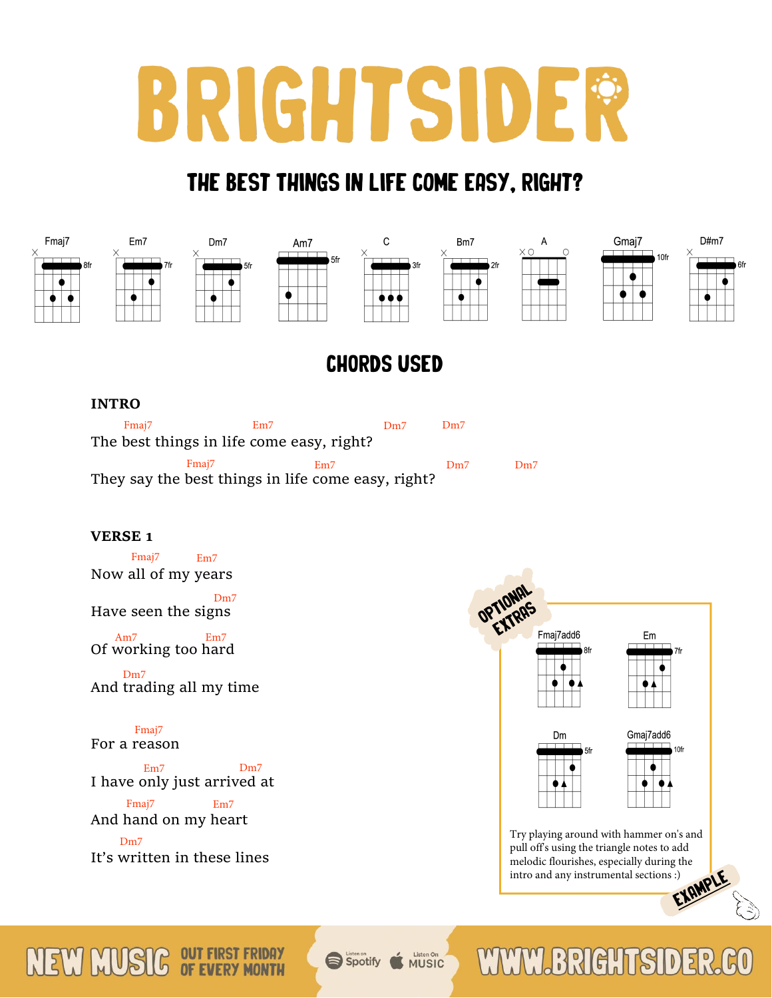# BRIGHTSIDER

# The Best Things In Life Come Easy, Right?



# CHORDS USED

## **INTRO**

| Fmai <sub>7</sub>                         |                   | Em7 | Dm7                                                | Dm7 |     |
|-------------------------------------------|-------------------|-----|----------------------------------------------------|-----|-----|
| The best things in life come easy, right? |                   |     |                                                    |     |     |
|                                           | Fmai <sub>7</sub> | Em7 |                                                    | Dm7 | Dm7 |
|                                           |                   |     | They say the best things in life come easy, right? |     |     |

## **VERSE 1**

Now all of my years Fmaj7 Em7

Have seen the signs Dm7

Of working too hard Am7 Em7

And trading all my time Dm7

#### For a reason Fmaj7

I have only just arrived at Em7 Dm7

And hand on my heart Fmaj7 Em7

It's written in these lines Dm<sub>7</sub>



pull off's using the triangle notes to add melodic flourishes, especially during the intro and any instrumental sections :) [EXAMPLE](https://fb.watch/3r8g9roIUr/)

#### **OUT FIRST FRIDAY** NEW OF EVERY MONTH

Spotify **MUSIC** 

#### **WWW BRIGHTSID**  $\overline{5}$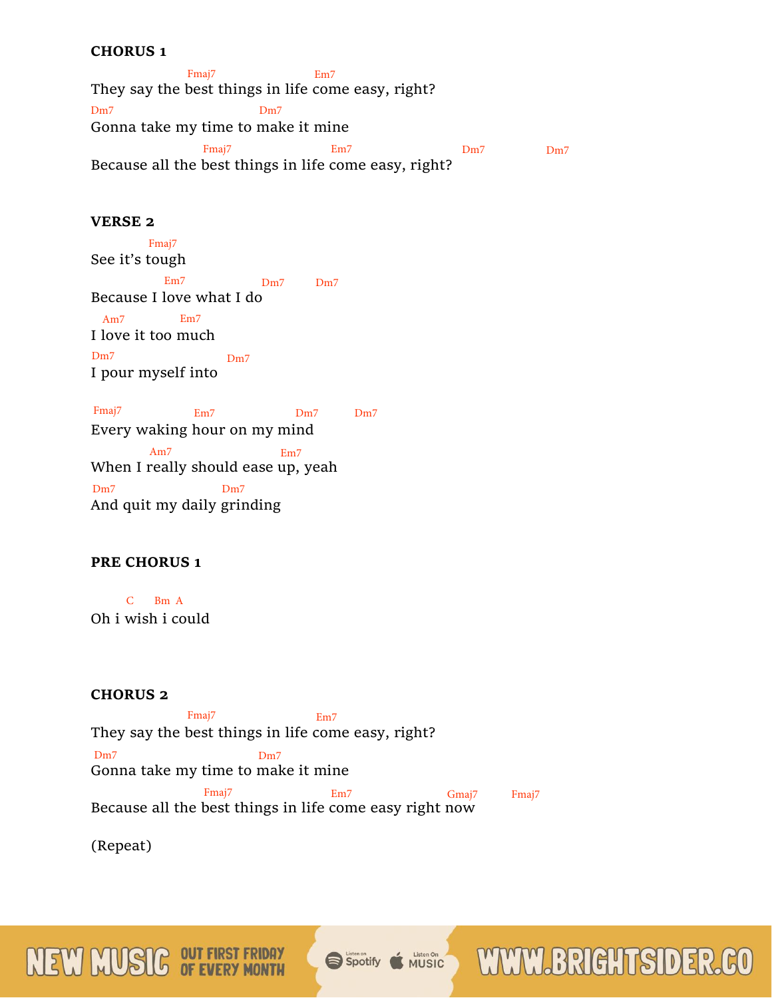#### **CHORUS 1**

They say the best things in life come easy, right? Gonna take my time to make it mine Because all the best things in life come easy, right? Fmaj7 Em7 Dm7 Dm7 Fmaj7 Em7 Dm7 Dm7

## **VERSE 2**

See it's tough Because I love what I do I love it too much I pour myself into Fmaj7 Em7 Dm7 Dm7 Am7 Em7 Dm7 Dm7

Every waking hour on my mind When I really should ease up, yeah And quit my daily grinding Fmaj7 Em7 Dm7 Dm7 Am7 Em7 Dm7 Dm7

#### **PRE CHORUS 1**

Oh i wish i could C Bm A

#### **CHORUS 2**

They say the best things in life come easy, right? Gonna take my time to make it mine Because all the best things in life come easy right now Fmaj7 Em7 Dm7 Dm7 Fmaj7 Em7 Gmaj7 Fmaj7

(Repeat)

NEW MUS

Listen On<br>MUSIC Spotify

WWW.BRIGHTSIDER.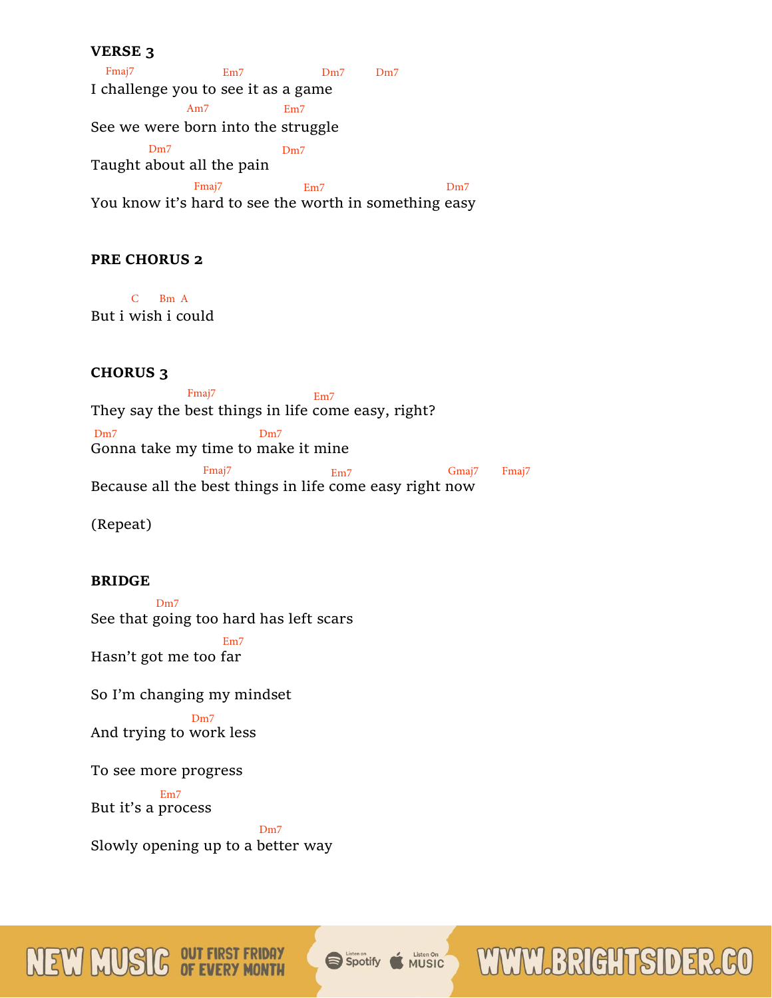#### **VERSE 3**

I challenge you to see it as a game See we were born into the struggle Taught about all the pain You know it's hard to see the worth in something easy Fmaj7 Em7 Dm7 Dm7 Am7 Em7 Dm7 Dm7 Fmaj7 Em7 Em7 Dm7

## **PRE CHORUS 2**

But i wish i could C Bm A

**CHORUS 3**

They say the best things in life come easy, right? Gonna take my time to make it mine Fmaj7 Em7 Dm7 Dm7 Fmaj7 Em7 Gmaj7 Fmaj7

Because all the best things in life come easy right now

(Repeat)

#### **BRIDGE**

See that going too hard has left scars Dm7

Hasn't got me too far Em7

So I'm changing my mindset

And trying to work less Dm7

To see more progress

But it's a process Em7

MEW MU

Slowly opening up to a better way Dm7

#### Listen On Spotify

**WWW.BRIGHTSIDER**